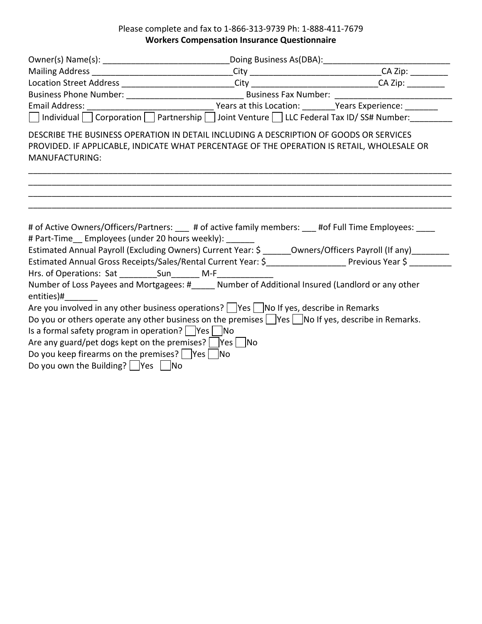## Please complete and fax to 1‐866‐313‐9739 Ph: 1‐888‐411‐7679 **Workers Compensation Insurance Questionnaire**

|                                                                                                                                                                                                                                                                                                                                                 | Mailing Address _________________________________City _________________________________CA Zip: __________      |
|-------------------------------------------------------------------------------------------------------------------------------------------------------------------------------------------------------------------------------------------------------------------------------------------------------------------------------------------------|----------------------------------------------------------------------------------------------------------------|
| Location Street Address __________________________City _______________________________CA Zip: ____________                                                                                                                                                                                                                                      |                                                                                                                |
|                                                                                                                                                                                                                                                                                                                                                 |                                                                                                                |
|                                                                                                                                                                                                                                                                                                                                                 |                                                                                                                |
| $\Box$ Individual $\Box$ Corporation $\Box$ Partnership $\Box$ Joint Venture $\Box$ LLC Federal Tax ID/SS# Number:                                                                                                                                                                                                                              |                                                                                                                |
| DESCRIBE THE BUSINESS OPERATION IN DETAIL INCLUDING A DESCRIPTION OF GOODS OR SERVICES<br>PROVIDED. IF APPLICABLE, INDICATE WHAT PERCENTAGE OF THE OPERATION IS RETAIL, WHOLESALE OR<br><b>MANUFACTURING:</b>                                                                                                                                   |                                                                                                                |
| # of Active Owners/Officers/Partners: ____ # of active family members: ___ #of Full Time Employees: ____<br># Part-Time Employees (under 20 hours weekly):                                                                                                                                                                                      | Estimated Annual Payroll (Excluding Owners) Current Year: \$ _______Owners/Officers Payroll (If any)__________ |
| Estimated Annual Gross Receipts/Sales/Rental Current Year: \$____________________ Previous Year \$ ________                                                                                                                                                                                                                                     |                                                                                                                |
|                                                                                                                                                                                                                                                                                                                                                 |                                                                                                                |
| Number of Loss Payees and Mortgagees: #_____ Number of Additional Insured (Landlord or any other<br>entities)#                                                                                                                                                                                                                                  |                                                                                                                |
| Are you involved in any other business operations? $\Box$ Yes $\Box$ No If yes, describe in Remarks                                                                                                                                                                                                                                             |                                                                                                                |
| Do you or others operate any other business on the premises $\Box$ Yes $\Box$ No If yes, describe in Remarks.<br>Is a formal safety program in operation? $ $ $ Yes $ $ No$<br>Are any guard/pet dogs kept on the premises? $ $  Yes    No<br>Do you keep firearms on the premises?   Yes   No<br>Do you own the Building? $\Box$ Yes $\Box$ No |                                                                                                                |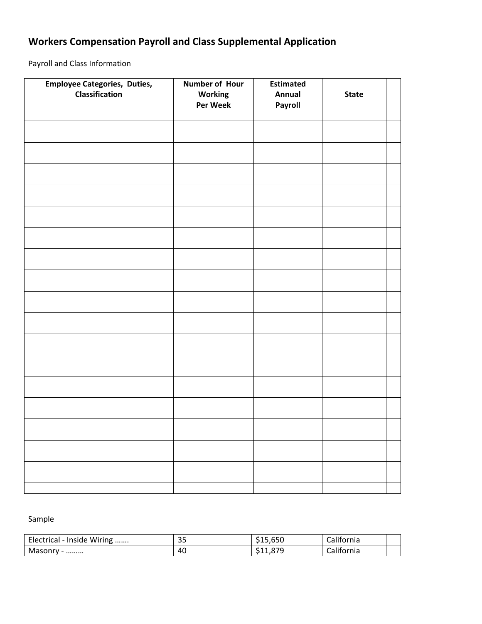## **Workers Compensation Payroll and Class Supplemental Application**

Payroll and Class Information

| <b>Employee Categories, Duties,</b><br><b>Classification</b> | Number of Hour<br>Working<br>Per Week | <b>Estimated</b><br>Annual<br>Payroll | <b>State</b> |  |
|--------------------------------------------------------------|---------------------------------------|---------------------------------------|--------------|--|
|                                                              |                                       |                                       |              |  |
|                                                              |                                       |                                       |              |  |
|                                                              |                                       |                                       |              |  |
|                                                              |                                       |                                       |              |  |
|                                                              |                                       |                                       |              |  |
|                                                              |                                       |                                       |              |  |
|                                                              |                                       |                                       |              |  |
|                                                              |                                       |                                       |              |  |
|                                                              |                                       |                                       |              |  |
|                                                              |                                       |                                       |              |  |
|                                                              |                                       |                                       |              |  |
|                                                              |                                       |                                       |              |  |
|                                                              |                                       |                                       |              |  |
|                                                              |                                       |                                       |              |  |
|                                                              |                                       |                                       |              |  |
|                                                              |                                       |                                       |              |  |
|                                                              |                                       |                                       |              |  |
|                                                              |                                       |                                       |              |  |

## Sample

| Wiring<br>Elec<br>Inside<br>ectrical | ാല<br>ر ر | $\sim$ $\sim$ $\sim$<br>515.65U | $\cdots$<br>California |  |
|--------------------------------------|-----------|---------------------------------|------------------------|--|
| Masonry -<br>                        | 40        | ogr<br>.                        | $\cdots$<br>ornia      |  |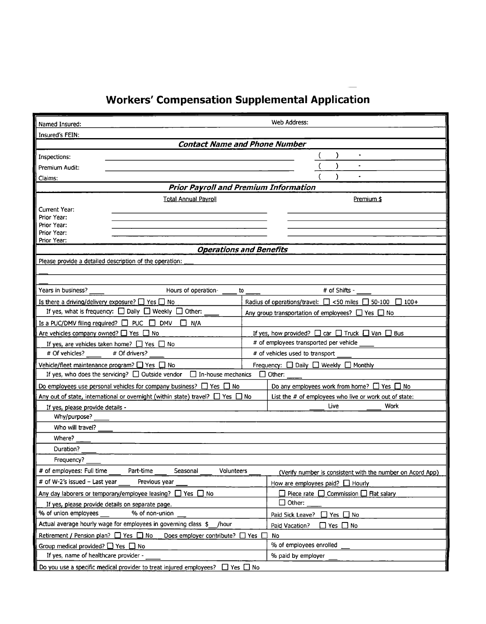## **Workers' Compensation Supplemental Application**

| Web Address:<br>Named Insured:                                                                                                         |                                                                         |  |
|----------------------------------------------------------------------------------------------------------------------------------------|-------------------------------------------------------------------------|--|
| <b>Insured's FEIN:</b>                                                                                                                 |                                                                         |  |
|                                                                                                                                        | <b>Contact Name and Phone Number</b>                                    |  |
| Inspections:                                                                                                                           | )                                                                       |  |
| Premium Audit:                                                                                                                         |                                                                         |  |
| Claims:                                                                                                                                |                                                                         |  |
|                                                                                                                                        | Prior Payroll and Premium Information                                   |  |
| <b>Total Annual Payroll</b>                                                                                                            | Premium \$                                                              |  |
| Current Year:                                                                                                                          |                                                                         |  |
| Prior Year:                                                                                                                            |                                                                         |  |
| Prior Year:                                                                                                                            |                                                                         |  |
| Prior Year:<br>Prior Year:                                                                                                             |                                                                         |  |
|                                                                                                                                        | <b>Operations and Benefits</b>                                          |  |
| Please provide a detailed description of the operation:                                                                                |                                                                         |  |
|                                                                                                                                        |                                                                         |  |
|                                                                                                                                        |                                                                         |  |
| Years in business?<br>Hours of operation-                                                                                              | # of Shifts -<br>to                                                     |  |
| Is there a driving/delivery exposure? $\Box$ Yes $\Box$ No                                                                             | Radius of operations/travel: $\Box$ <50 miles $\Box$ 50-100 $\Box$ 100+ |  |
| If yes, what is frequency: $\Box$ Daily $\Box$ Weekly $\Box$ Other:                                                                    | Any group transportation of employees? $\Box$ Yes $\Box$ No             |  |
| Is a PUC/DMV filing required? $\Box$ PUC $\Box$ DMV<br>П<br>N/A                                                                        |                                                                         |  |
| Are vehicles company owned? $\Box$ Yes $\Box$ No                                                                                       | If yes, how provided? $\Box$ car $\Box$ Truck $\Box$ Van $\Box$ Bus     |  |
| If yes, are vehicles taken home? $\Box$ Yes $\Box$ No                                                                                  | # of employees transported per vehicle                                  |  |
| # Of vehicles?<br># Of drivers?<br># of vehicles used to transport                                                                     |                                                                         |  |
| Vehicle/fleet maintenance program? $\Box$ Yes $\Box$ No<br>Frequency: $\Box$ Daily $\Box$ Weekly $\Box$ Monthly                        |                                                                         |  |
| If yes, who does the servicing? $\Box$ Outside vendor<br>$\Box$ In-house mechanics<br>$\Box$ Other:                                    |                                                                         |  |
| Do employees use personal vehicles for company business? $\Box$ Yes $\Box$ No<br>Do any employees work from home? $\Box$ Yes $\Box$ No |                                                                         |  |
| Any out of state, international or overnight (within state) travel? $\Box$ Yes $\Box$ No                                               | List the # of employees who live or work out of state:                  |  |
| Live<br>Work<br>If yes, please provide details -                                                                                       |                                                                         |  |
| Why/purpose?                                                                                                                           |                                                                         |  |
| Who will travel?                                                                                                                       |                                                                         |  |
| Where?                                                                                                                                 |                                                                         |  |
| Duration?                                                                                                                              |                                                                         |  |
| Frequency?                                                                                                                             |                                                                         |  |
| # of employees: Full time<br>Part-time<br>Seasonal<br>Volunteers                                                                       | (Verify number is consistent with the number on Acord App)              |  |
| # of W-2's issued - Last year<br>Previous year<br>How are employees paid? $\Box$ Hourly                                                |                                                                         |  |
| $\Box$ Piece rate $\Box$ Commission $\Box$ Flat salary<br>Any day laborers or temporary/employee leasing? $\Box$ Yes $\Box$ No         |                                                                         |  |
| $\mathop{\Box}$ Other:<br>If yes, please provide details on separate page.                                                             |                                                                         |  |
| % of union employees<br>% of non-union                                                                                                 | Paid Sick Leave?<br>$\Box$ Yes $\Box$ No                                |  |
| Actual average hourly wage for employees in governing class \$__/hour                                                                  | $\Box$ Yes $\Box$ No<br>Paid Vacation?                                  |  |
| Retirement / Pension plan? $\Box$ Yes $\Box$ No<br>Does employer contribute? $\Box$ Yes $\Box$                                         | No                                                                      |  |
| Group medical provided? $\Box$ Yes $\Box$ No                                                                                           | % of employees enrolled                                                 |  |
| If yes, name of healthcare provider -                                                                                                  | % paid by employer                                                      |  |
| Do you use a specific medical provider to treat injured employees? $\Box$ Yes $\Box$ No                                                |                                                                         |  |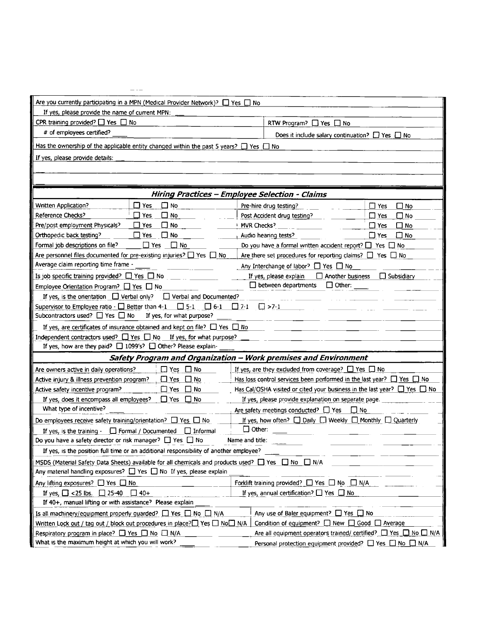| Are you currently participating in a MPN (Medical Provider Network)? $\Box$ Yes $\Box$ No                         |                                                                                    |  |
|-------------------------------------------------------------------------------------------------------------------|------------------------------------------------------------------------------------|--|
| If yes, please provide the name of current MPN:                                                                   |                                                                                    |  |
| CPR training provided? $\Box$ Yes $\Box$ No                                                                       | RTW Program? □ Yes □ No                                                            |  |
| # of employees certified?                                                                                         | Does it include salary continuation? $\Box$ Yes $\Box$ No                          |  |
| Has the ownership of the applicable entity changed within the past 5 years? $\Box$ Yes $\Box$ No                  |                                                                                    |  |
| If yes, please provide details:                                                                                   |                                                                                    |  |
|                                                                                                                   |                                                                                    |  |
|                                                                                                                   |                                                                                    |  |
|                                                                                                                   | Hiring Practices - Employee Selection - Claims                                     |  |
| $\square$ No<br><b>Written Application?</b><br>$\square$ Yes                                                      | Pre-hire drug testing?<br>$\Box$ Yes<br>⊟ No                                       |  |
| Reference Checks?<br>$\square$ No<br>$\Box$ Yes                                                                   | Π No<br>Post Accident drug testing?<br>$\square$ Yes                               |  |
| Pre/post employment Physicals?<br>$\square$ Yes<br>∐ No                                                           | MVR Checks?<br>⊟ No<br>∐ Yes                                                       |  |
| Orthopedic back testing?<br>$\Box$ No<br>$\sqcup$ Yes                                                             | $\square$ No<br>$\Box$ Yes<br>Audio hearing tests?                                 |  |
| Formal job descriptions on file?<br>$\Box$ Yes<br>$\Box$ No                                                       | Do you have a formal written accident report? $\Box$ Yes $\Box$ No                 |  |
| Are personnel files documented for pre-existing injuries? $\Box$ Yes $\Box$<br>No                                 | Are there set procedures for reporting claims? $\Box$ Yes $\Box$ No                |  |
| Average claim reporting time frame -                                                                              | Any Interchange of labor? □ Yes □ No                                               |  |
| Is job specific training provided? $\Box$ Yes $\Box$ No                                                           | If yes, please explain<br>$\Box$ Another business<br>$\Box$ Subsidiary             |  |
| Employee Orientation Program? $\Box$ Yes $\Box$ No                                                                | $\Box$ between departments<br>$\Box$ Other:                                        |  |
| If yes, is the orientation $\Box$ Verbal only? $\Box$ Verbal and Documented?                                      |                                                                                    |  |
| Supervisor to Employee ratio $\cdot$ $\Box$ Better than 4-1 $\Box$ 5-1 $\Box$ 6-1                                 | $\Box$ >7-1<br>$\Box$ 7-1                                                          |  |
| Subcontractors used? $\Box$ Yes $\Box$ No<br>If yes, for what purpose?                                            |                                                                                    |  |
| If yes, are certificates of insurance obtained and kept on file? $\Box$ Yes $\Box$ No                             |                                                                                    |  |
| Independent contractors used? $\Box$ Yes $\Box$ No If yes, for what purpose?                                      |                                                                                    |  |
| If yes, how are they paid? $\Box$ 1099's? $\Box$ Other? Please explain-                                           |                                                                                    |  |
|                                                                                                                   | Safety Program and Organization - Work premises and Environment                    |  |
| $\Box$ Yes $\Box$ No<br>Are owners active in daily operations?                                                    | If yes, are they excluded from coverage? $\Box$ Yes $\Box$ No                      |  |
| Active injury & illness prevention program?<br>$\Box$ Yes<br>∐ No                                                 | Has loss control services been performed in the last year? $\Box$ Yes $\Box$ No    |  |
| Active safety incentive program?<br>$\square$ Yes<br>∐ No                                                         | Has Cal/OSHA visited or cited your business in the last year? $\Box$ Yes $\Box$ No |  |
| If yes, does it encompass all employees?<br>$\Box$ Yes<br>$\Box$ No                                               | If yes, please provide explanation on separate page.                               |  |
| What type of incentive?                                                                                           | Are safety meetings conducted? TVes<br>$\Box$ No                                   |  |
| Do employees receive safety training/orientation? $\Box$ Yes $\Box$ No                                            | If yes, how often? $\Box$ Daily $\Box$ Weekly $\Box$ Monthly $\Box$ Quarterly      |  |
|                                                                                                                   |                                                                                    |  |
| If yes, is the training $\cdot$ $\Box$ Formal / Documented $\Box$ Informal                                        | $\Box$ Other:                                                                      |  |
| Do you have a safety director or risk manager? $\Box$ Yes $\Box$ No                                               | Name and title:                                                                    |  |
| If yes, is the position full time or an additional responsibility of another employee?                            |                                                                                    |  |
| MSDS (Material Safety Data Sheets) available for all chemicals and products used? $\Box$ Yes $\Box$ No $\Box$ N/A |                                                                                    |  |
| Any material handling exposures? $\Box$ Yes $\Box$ No If yes, please explain                                      |                                                                                    |  |
| Any lifting exposures? $\Box$ Yes $\Box$ No                                                                       | Forklift training provided? □ Yes □ No □ N/A                                       |  |
| If yes, $\Box$ <25 lbs. $\Box$ 25-40<br>$\Box$ 40+                                                                | If yes, annual certification? $\Box$ Yes $\Box$ No                                 |  |
| If 40+, manual lifting or with assistance? Please explain                                                         |                                                                                    |  |
| Is all machinery/equipment properly quarded? $\Box$ Yes $\Box$ No $\Box$ N/A                                      | Any use of Baler equipment? $\Box$ Yes $\Box$ No                                   |  |
| Written Lock out / tag out / block out procedures in place?□ Yes □ No□ N/A                                        | Condition of equipment? $\Box$ New $\Box$ Good $\Box$ Average                      |  |
| Respiratory program in place? ■ Yes ■ No ■ N/A<br>What is the maximum height at which you will work?              | Are all equipment operators trained/ certified? $\Box$ Yes $\Box$ No $\Box$ N/A    |  |

 $- -$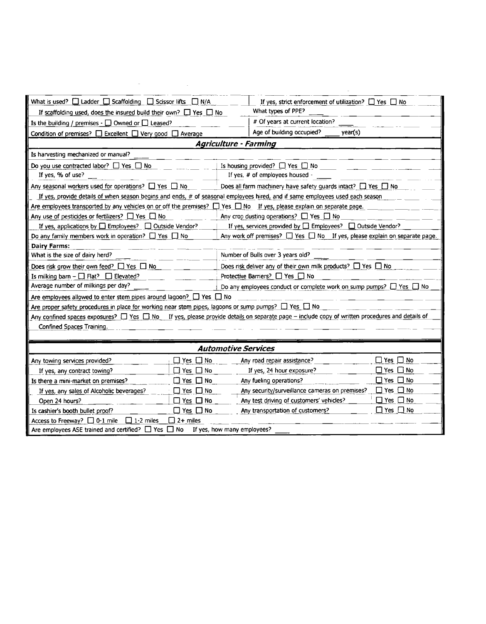| What is used? $\Box$ Ladder $\Box$ Scaffolding $\Box$ Scissor lifts $\Box$ N/A                                                  | If yes, strict enforcement of utilization? $\Box$ Yes $\Box$ No                                                                                                  |  |  |
|---------------------------------------------------------------------------------------------------------------------------------|------------------------------------------------------------------------------------------------------------------------------------------------------------------|--|--|
| If scaffolding used, does the insured build their own? $\Box$ Yes $\Box$ No                                                     | What types of PPE?                                                                                                                                               |  |  |
| Is the building / premises $\cdot \Box$ Owned or $\Box$ Leased?                                                                 | # Of years at current location?                                                                                                                                  |  |  |
| Condition of premises? □ Excellent □ Very good □ Average                                                                        | Age of building occupied?<br>year(s)                                                                                                                             |  |  |
|                                                                                                                                 | <b>Agriculture - Farming</b>                                                                                                                                     |  |  |
| Is harvesting mechanized or manual?                                                                                             |                                                                                                                                                                  |  |  |
| Do you use contracted labor? $\Box$ Yes $\Box$ No                                                                               | Is housing provided? $\Box$ Yes $\Box$ No                                                                                                                        |  |  |
| If yes, % of use?                                                                                                               | If yes, # of employees housed                                                                                                                                    |  |  |
| Any seasonal workers used for operations? $\Box$ Yes $\Box$ No                                                                  | Does all farm machinery have safety guards intact? $\Box$ Yes $\Box$ No                                                                                          |  |  |
| If yes, provide details of when season begins and ends, # of seasonal employees hired, and if same employees used each season   |                                                                                                                                                                  |  |  |
| Are employees transported by any vehicles on or off the premises? $\Box$ Yes $\Box$ No If yes, please explain on separate page. |                                                                                                                                                                  |  |  |
| Any use of pesticides or fertilizers? $\Box$ Yes $\Box$ No                                                                      | Any crop dusting operations? $\Box$ Yes $\Box$ No                                                                                                                |  |  |
| If yes, applications by $\Box$ Employees? $\Box$ Outside Vendor?                                                                | If yes, services provided by $\Box$ Employees? $\Box$ Outside Vendor?                                                                                            |  |  |
| Do any family members work in operation? $\Box$ Yes $\Box$ No                                                                   | Any work off premises? $\Box$ Yes $\Box$ No If yes, please explain on separate page.                                                                             |  |  |
| Dairy Farms:                                                                                                                    |                                                                                                                                                                  |  |  |
| What is the size of dairy herd?                                                                                                 | Number of Bulls over 3 years old?                                                                                                                                |  |  |
| Does risk grow their own feed? $\Box$ Yes $\Box$ No                                                                             | Does risk deliver any of their own milk products? $\Box$ Yes $\Box$ No                                                                                           |  |  |
| Is milking barn - $\Box$ Flat? $\Box$ Elevated?                                                                                 | Protective Barriers? □ Yes □ No                                                                                                                                  |  |  |
| Average number of milkings per day?                                                                                             | Do any employees conduct or complete work on sump pumps? $\Box$ Yes $\Box$ No                                                                                    |  |  |
| Are employees allowed to enter stem pipes around lagoon? I Yes I No                                                             |                                                                                                                                                                  |  |  |
| Are proper safety procedures in place for working near stem pipes, lagoons or sump pumps? $\Box$ Yes $\Box$ No                  |                                                                                                                                                                  |  |  |
|                                                                                                                                 | Any confined spaces exposures? <a> C<br/> Yes <a> No If yes, please provide details on separate page - include copy of written procedures and details of</a></a> |  |  |
| Confined Spaces Training.                                                                                                       |                                                                                                                                                                  |  |  |
|                                                                                                                                 |                                                                                                                                                                  |  |  |
| <b>Automotive Services</b>                                                                                                      |                                                                                                                                                                  |  |  |
| $\Box$ Yes $\Box$ No<br>Any towing services provided?                                                                           | $\square$ Yes $\square$ No<br>Any road repair assistance?                                                                                                        |  |  |
| $\Box$ Yes $\Box$ No<br>If yes, any contract towing?                                                                            | $\Box$ Yes $\Box$ No<br>If yes, 24 hour exposure?                                                                                                                |  |  |
| $\Box$ Yes $\Box$ No<br>Is there a mini-market on premises?                                                                     | $\Box$ Yes $\Box$ No<br>Any fueling operations?                                                                                                                  |  |  |
| If yes, any sales of Alcoholic beverages?<br>$\Box$ Yes $\Box$ No                                                               | $\Box$ Yes $\Box$ No<br>Any security/surveillance cameras on premises?                                                                                           |  |  |
| $\Box$ Yes $\Box$ No<br>Open 24 hours?                                                                                          | $\Box$ Yes $\Box$ No<br>Any test driving of customers' vehicles?                                                                                                 |  |  |
| $\Box$ Yes $\Box$ No<br>Is cashier's booth builet proof?                                                                        | $\Box$ Yes $\Box$ No<br>Any transportation of customers?                                                                                                         |  |  |
| Access to Freeway? □ 0-1 mile<br>$\Box$ 1-2 miles<br>$\Box$ 2+ miles                                                            |                                                                                                                                                                  |  |  |
| Are employees ASE trained and certified? $\Box$ Yes $\Box$ No                                                                   | If yes, how many employees?                                                                                                                                      |  |  |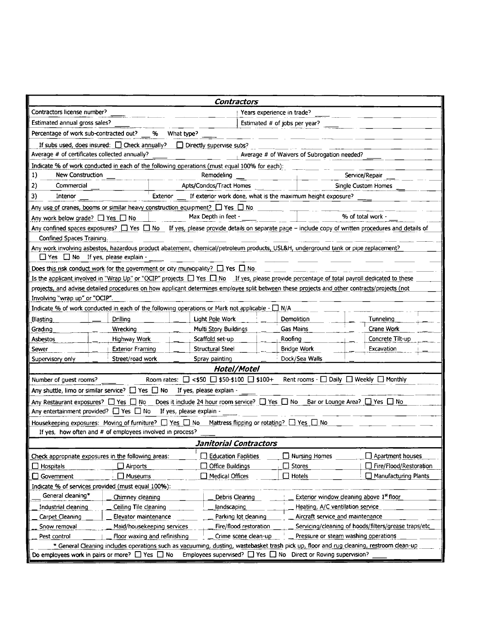| Contractors                                                                                                                                        |                                                                                                                                                         |                                                                          |                            |                                                      |                                                      |
|----------------------------------------------------------------------------------------------------------------------------------------------------|---------------------------------------------------------------------------------------------------------------------------------------------------------|--------------------------------------------------------------------------|----------------------------|------------------------------------------------------|------------------------------------------------------|
| Contractors license number?                                                                                                                        |                                                                                                                                                         |                                                                          | Years experience in trade? |                                                      |                                                      |
| Estimated annual gross sales?<br>Estimated # of jobs per year?                                                                                     |                                                                                                                                                         |                                                                          |                            |                                                      |                                                      |
| Percentage of work sub-contracted out?                                                                                                             | %<br>What type?                                                                                                                                         |                                                                          |                            |                                                      |                                                      |
| If subs used, does insured: $\Box$ Check annually?                                                                                                 |                                                                                                                                                         | Directly supervise subs?                                                 |                            |                                                      |                                                      |
| Average # of certificates collected annually?                                                                                                      |                                                                                                                                                         |                                                                          |                            | Average # of Waivers of Subrogation needed?          |                                                      |
|                                                                                                                                                    | Indicate % of work conducted in each of the following operations (must equal 100% for each):                                                            |                                                                          |                            |                                                      |                                                      |
| 1)<br>New Construction                                                                                                                             |                                                                                                                                                         | Remodeling                                                               |                            |                                                      | Service/Repair                                       |
| 2)<br>Commercial                                                                                                                                   |                                                                                                                                                         | Apts/Condos/Tract Homes                                                  |                            |                                                      | Single Custom Homes                                  |
| 3)<br>Interior                                                                                                                                     | Exterior                                                                                                                                                | If exterior work done, what is the maximum height exposure?              |                            |                                                      |                                                      |
|                                                                                                                                                    | Any use of cranes, booms or similar heavy construction equipment? $\Box$ Yes $\Box$ No                                                                  |                                                                          |                            |                                                      |                                                      |
| Any work below grade? $\Box$ Yes $\Box$ No                                                                                                         |                                                                                                                                                         | Max Depth in feet $\cdot$                                                |                            |                                                      | % of total work -                                    |
|                                                                                                                                                    | Any confined spaces exposures? $\Box$ Yes $\Box$ No If yes, please provide details on separate page – include copy of written procedures and details of |                                                                          |                            |                                                      |                                                      |
| Confined Spaces Training.                                                                                                                          |                                                                                                                                                         |                                                                          |                            |                                                      |                                                      |
|                                                                                                                                                    | Any work involving asbestos, hazardous product abatement, chemical/petroleum products, USL&H, underground tank or pipe replacement?                     |                                                                          |                            |                                                      |                                                      |
| $\Box$ Yes $\Box$ No If yes, please explain -                                                                                                      |                                                                                                                                                         |                                                                          |                            |                                                      |                                                      |
|                                                                                                                                                    | Does this risk conduct work for the government or city municipality? $\Box$ Yes $\Box$ No                                                               |                                                                          |                            |                                                      |                                                      |
|                                                                                                                                                    | Is the applicant involved in "Wrap Up" or "OCIP" projects $\Box$ Yes $\Box$ No If yes, please provide percentage of total payroll dedicated to these    |                                                                          |                            |                                                      |                                                      |
|                                                                                                                                                    | projects, and advise detailed procedures on how applicant determines employee split between these projects and other contracts/projects (not            |                                                                          |                            |                                                      |                                                      |
| Involving "wrap up" or "OCIP".                                                                                                                     |                                                                                                                                                         |                                                                          |                            |                                                      |                                                      |
|                                                                                                                                                    | Indicate % of work conducted in each of the following operations or Mark not applicable $\cdot \Box$ N/A                                                |                                                                          |                            |                                                      |                                                      |
| Blasting                                                                                                                                           | Drilling                                                                                                                                                | Light Pole Work                                                          | Demolition                 |                                                      | Tunneling                                            |
| Grading                                                                                                                                            | Wrecking                                                                                                                                                | Multi Story Buildings                                                    | Gas Mains                  |                                                      | Crane Work                                           |
| Asbestos                                                                                                                                           | Highway Work                                                                                                                                            | Scaffold set-up                                                          | Roofing                    |                                                      | Concrete Tilt-up                                     |
| Sewer                                                                                                                                              | <b>Exterior Framing</b>                                                                                                                                 | Structural Steel                                                         | <b>Bridge Work</b>         |                                                      | Excavation                                           |
| Supervisory only                                                                                                                                   | Street/road work                                                                                                                                        | Spray painting                                                           |                            | Dock/Sea Walls                                       |                                                      |
| Hotel/Motel                                                                                                                                        |                                                                                                                                                         |                                                                          |                            |                                                      |                                                      |
| Room rates: $\Box$ <\$50 $\Box$ \$50-\$100 $\Box$ \$100+<br>Rent rooms - $\Box$ Daily $\Box$ Weekly $\Box$ Monthly<br>Number of guest rooms?       |                                                                                                                                                         |                                                                          |                            |                                                      |                                                      |
| Any shuttle, limo or similar service? $\Box$ Yes $\Box$ No<br>If yes, please explain -                                                             |                                                                                                                                                         |                                                                          |                            |                                                      |                                                      |
| Any Restaurant exposures? $\Box$ Yes $\Box$ No Does it include 24 hour room service? $\Box$ Yes $\Box$ No Bar or Lounge Area? $\Box$ Yes $\Box$ No |                                                                                                                                                         |                                                                          |                            |                                                      |                                                      |
| If yes, please explain -<br>Any entertainment provided? $\Box$ Yes $\Box$ No                                                                       |                                                                                                                                                         |                                                                          |                            |                                                      |                                                      |
| Housekeeping exposures: Moving of furniture? $\Box$ Yes $\Box$ No<br>Mattress flipping or rotating? $\Box$ Yes $\Box$ No                           |                                                                                                                                                         |                                                                          |                            |                                                      |                                                      |
| If yes, how often and # of employees involved in process?                                                                                          |                                                                                                                                                         |                                                                          |                            |                                                      |                                                      |
| Janitorial Contractors                                                                                                                             |                                                                                                                                                         |                                                                          |                            |                                                      |                                                      |
| Check appropriate exposures in the following areas:                                                                                                |                                                                                                                                                         | <b>Education Facilities</b>                                              |                            | $\square$ Nursing Homes                              | Apartment houses                                     |
| $\Box$ Hospitals                                                                                                                                   | $\Box$ Airports                                                                                                                                         | Office Buildings                                                         | $\Box$ Stores              |                                                      | Fire/Flood/Restoration                               |
| Government<br>ப                                                                                                                                    | $\Box$ Museums                                                                                                                                          | $\Box$ Medical Offices                                                   | $\Box$ Hotels              |                                                      | □ Manufacturing Plants                               |
| Indicate % of services provided (must equal 100%):                                                                                                 |                                                                                                                                                         |                                                                          |                            |                                                      |                                                      |
| General cleaning*                                                                                                                                  | Chimney cleaning                                                                                                                                        | Debris Cleaning                                                          |                            | Exterior window cleaning above 1 <sup>st</sup> floor |                                                      |
| Industrial cleaning                                                                                                                                | Ceiling Tile cleaning                                                                                                                                   | landscaping                                                              |                            | Heating, A/C ventilation service                     |                                                      |
| Carpet Cleaning                                                                                                                                    | Elevator maintenance                                                                                                                                    | Parking lot deaning                                                      |                            | Aircraft service and maintenance                     |                                                      |
| Snow removal                                                                                                                                       | Maid/housekeeping services                                                                                                                              | Fire/flood restoration                                                   |                            |                                                      | Servicing/cleaning of hoods/filters/grease traps/etc |
| Pest control                                                                                                                                       | Floor waxing and refinishing                                                                                                                            | Crime scene clean-up                                                     |                            | Pressure or steam washing operations                 |                                                      |
|                                                                                                                                                    | * General Cleaning includes operations such as vacuuming, dusting, wastebasket trash pick up, floor and rug cleaning, restroom dean-up                  |                                                                          |                            |                                                      |                                                      |
| Do employees work in pairs or more? $\Box$ Yes $\Box$ No                                                                                           |                                                                                                                                                         | Employees supervised? $\Box$ Yes $\Box$ No Direct or Roving supervision? |                            |                                                      |                                                      |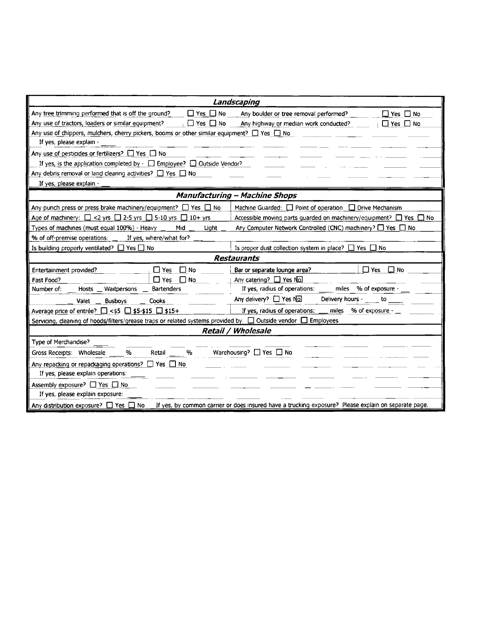|                                                                                                                | Landscaping                                                                                          |  |
|----------------------------------------------------------------------------------------------------------------|------------------------------------------------------------------------------------------------------|--|
| Any tree trimming performed that is off the ground?<br>$\Box$ Yes $\Box$ No                                    | Any boulder or tree removal performed?<br>$\Box$ Yes $\Box$ No                                       |  |
| Any use of tractors, loaders or similar equipment?<br>$\Box$ Yes $\Box$ No                                     | Any highway or median work conducted?<br>$\Box$ Yes $\Box$ No                                        |  |
| Any use of chippers, mulchers, cherry pickers, booms or other similar equipment? $\Box$ Yes $\Box$ No          |                                                                                                      |  |
| If yes, please explain -                                                                                       |                                                                                                      |  |
| Any use of pesticides or fertilizers? $\Box$ Yes $\Box$ No                                                     |                                                                                                      |  |
| If yes, is the application completed by $\lnot \Box$ Employee? $\Box$ Outside Vendor?                          |                                                                                                      |  |
| Any debris removal or land clearing activities? $\Box$ Yes $\Box$ No                                           |                                                                                                      |  |
| If yes, please explain -                                                                                       |                                                                                                      |  |
|                                                                                                                | <b>Manufacturing - Machine Shops</b>                                                                 |  |
| Any punch press or press brake machinery/equipment? $\Box$ Yes $\Box$ No                                       | Machine Guarded: $\Box$ Point of operation $\Box$ Drive Mechanism                                    |  |
| Age of machinery: $\Box$ <2 yrs $\Box$ 2-5 yrs $\Box$ 5-10 yrs $\Box$ 10+ yrs                                  | Accessible moving parts guarded on machinery/equipment? $\Box$ Yes $\Box$ No                         |  |
| Types of machines (must equal 100%) - Heavy<br>Mid<br>Light                                                    | Any Computer Network Controlled (CNC) machinery? <sup>1</sup> Yes 1 No                               |  |
| % of off-premise operations: _<br>If yes, where/what for?                                                      |                                                                                                      |  |
| Is building properly ventilated? $\Box$ Yes $\Box$ No                                                          | Is proper dust collection system in place? $\Box$ Yes $\Box$ No                                      |  |
|                                                                                                                | <b>Restaurants</b>                                                                                   |  |
| $\Box$ No<br>Entertainment provided?<br>$\Box$ Yes                                                             | $\Box$ No<br>Bar or separate lounge area?<br>$\Box$ Yes                                              |  |
| $\Box$ Yes<br>$\Box$ No<br>Fast Food?                                                                          | Any catering? □ Yes No.                                                                              |  |
| Hosts _ Waitpersons _ Bartenders<br>Number of:                                                                 | If yes, radius of operations:<br>miles % of exposure -                                               |  |
| <b>Busboys</b><br>Cooks<br>Valet                                                                               | Any delivery? $\Box$ Yes No.<br>Delivery hours -<br>to to                                            |  |
| Average price of entrée? $\Box$ <\$5 $\Box$ \$5-\$15 $\Box$ \$15+                                              | If yes, radius of operations:<br>miles % of exposure -                                               |  |
| Servicing, cleaning of hoods/filters/grease traps or related systems provided by: □ Outside vendor □ Employees |                                                                                                      |  |
|                                                                                                                | <b>Retail / Wholesale</b>                                                                            |  |
| Type of Merchandise?                                                                                           |                                                                                                      |  |
| %<br>%<br>Gross Receipts: Wholesale<br>Retail                                                                  | Warehousing? $\Box$ Yes $\Box$ No                                                                    |  |
| Any repacking or repackaging operations? $\square$ Yes $\square$ No                                            |                                                                                                      |  |
| If yes, please explain operations:                                                                             |                                                                                                      |  |
| Assembly exposure? □ Yes □ No                                                                                  |                                                                                                      |  |
| If yes, please explain exposure:                                                                               |                                                                                                      |  |
| Any distribution exposure? $\Box$ Yes $\Box$ No                                                                | If yes, by common carrier or does insured have a trucking exposure? Please explain on separate page. |  |